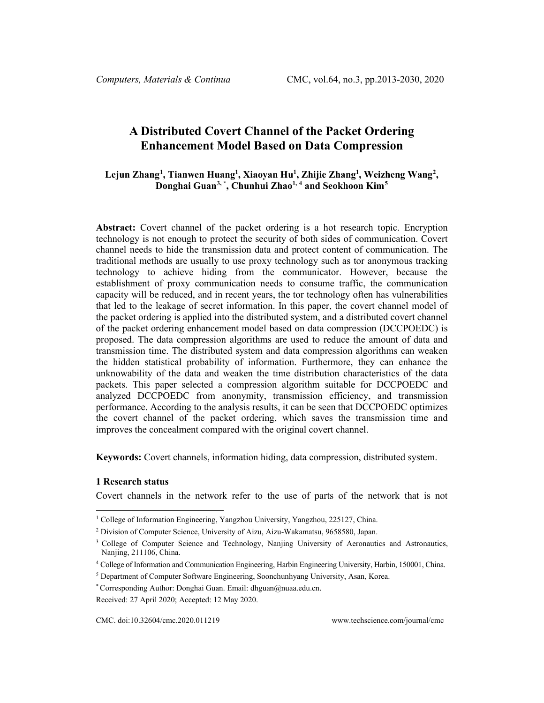# **A Distributed Covert Channel of the Packet Ordering Enhancement Model Based on Data Compression**

# <span id="page-0-0"></span>**Lejun Zhang[1](#page-0-1) , Tianwen Huan[g1](#page-0-0) , Xiaoyan H[u1](#page-0-0) , Zhijie Zhan[g1](#page-0-0) , Weizheng Wang[2](#page-0-2) , Donghai Guan[3,](#page-0-3) \* , Chunhui Zha[o1,](#page-0-0) [4](#page-0-4) and Seokhoon Kim[5](#page-0-5)**

**Abstract:** Covert channel of the packet ordering is a hot research topic. Encryption technology is not enough to protect the security of both sides of communication. Covert channel needs to hide the transmission data and protect content of communication. The traditional methods are usually to use proxy technology such as tor anonymous tracking technology to achieve hiding from the communicator. However, because the establishment of proxy communication needs to consume traffic, the communication capacity will be reduced, and in recent years, the tor technology often has vulnerabilities that led to the leakage of secret information. In this paper, the covert channel model of the packet ordering is applied into the distributed system, and a distributed covert channel of the packet ordering enhancement model based on data compression (DCCPOEDC) is proposed. The data compression algorithms are used to reduce the amount of data and transmission time. The distributed system and data compression algorithms can weaken the hidden statistical probability of information. Furthermore, they can enhance the unknowability of the data and weaken the time distribution characteristics of the data packets. This paper selected a compression algorithm suitable for DCCPOEDC and analyzed DCCPOEDC from anonymity, transmission efficiency, and transmission performance. According to the analysis results, it can be seen that DCCPOEDC optimizes the covert channel of the packet ordering, which saves the transmission time and improves the concealment compared with the original covert channel.

**Keywords:** Covert channels, information hiding, data compression, distributed system.

#### **1 Research status**

Covert channels in the network refer to the use of parts of the network that is not

<span id="page-0-1"></span><sup>&</sup>lt;sup>1</sup> College of Information Engineering, Yangzhou University, Yangzhou, 225127, China.

<span id="page-0-2"></span><sup>2</sup> Division of Computer Science, University of Aizu, Aizu-Wakamatsu, 9658580, Japan.

<span id="page-0-3"></span><sup>&</sup>lt;sup>3</sup> College of Computer Science and Technology, Nanjing University of Aeronautics and Astronautics, Nanjing, 211106, China.

<span id="page-0-4"></span><sup>4</sup> College of Information and Communication Engineering, Harbin Engineering University, Harbin, 150001, China.

<span id="page-0-5"></span><sup>5</sup> Department of Computer Software Engineering, Soonchunhyang University, Asan, Korea.

<sup>\*</sup> Corresponding Author: Donghai Guan. Email: dhguan@nuaa.edu.cn.

Received: 27 April 2020; Accepted: 12 May 2020.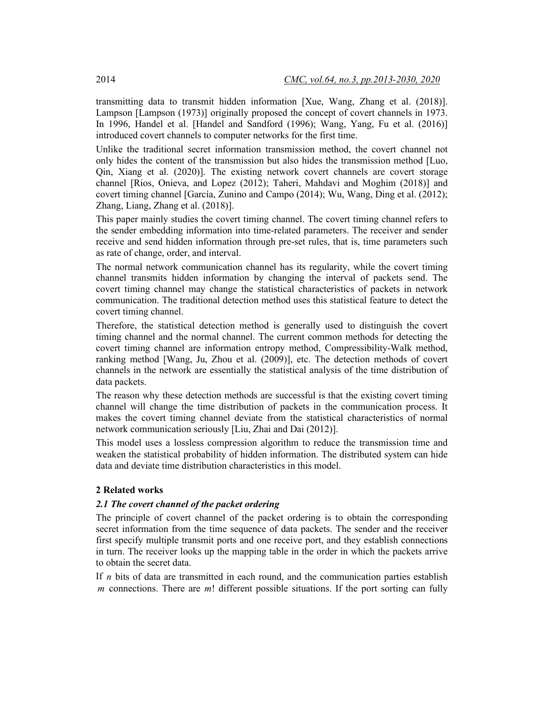transmitting data to transmit hidden information [Xue, Wang, Zhang et al. (2018)]. Lampson [Lampson (1973)] originally proposed the concept of covert channels in 1973. In 1996, Handel et al. [Handel and Sandford (1996); Wang, Yang, Fu et al. (2016)] introduced covert channels to computer networks for the first time.

Unlike the traditional secret information transmission method, the covert channel not only hides the content of the transmission but also hides the transmission method [Luo, Qin, Xiang et al. (2020)]. The existing network covert channels are covert storage channel [Rios, Onieva, and Lopez (2012); Taheri, Mahdavi and Moghim (2018)] and covert timing channel [García, Zunino and Campo (2014); Wu, Wang, Ding et al. (2012); Zhang, Liang, Zhang et al. (2018)].

This paper mainly studies the covert timing channel. The covert timing channel refers to the sender embedding information into time-related parameters. The receiver and sender receive and send hidden information through pre-set rules, that is, time parameters such as rate of change, order, and interval.

The normal network communication channel has its regularity, while the covert timing channel transmits hidden information by changing the interval of packets send. The covert timing channel may change the statistical characteristics of packets in network communication. The traditional detection method uses this statistical feature to detect the covert timing channel.

Therefore, the statistical detection method is generally used to distinguish the covert timing channel and the normal channel. The current common methods for detecting the covert timing channel are information entropy method, Compressibility-Walk method, ranking method [Wang, Ju, Zhou et al. (2009)], etc. The detection methods of covert channels in the network are essentially the statistical analysis of the time distribution of data packets.

The reason why these detection methods are successful is that the existing covert timing channel will change the time distribution of packets in the communication process. It makes the covert timing channel deviate from the statistical characteristics of normal network communication seriously [Liu, Zhai and Dai (2012)].

This model uses a lossless compression algorithm to reduce the transmission time and weaken the statistical probability of hidden information. The distributed system can hide data and deviate time distribution characteristics in this model.

### **2 Related works**

#### *2.1 The covert channel of the packet ordering*

The principle of covert channel of the packet ordering is to obtain the corresponding secret information from the time sequence of data packets. The sender and the receiver first specify multiple transmit ports and one receive port, and they establish connections in turn. The receiver looks up the mapping table in the order in which the packets arrive to obtain the secret data.

If *n* bits of data are transmitted in each round, and the communication parties establish *m* connections. There are *m*! different possible situations. If the port sorting can fully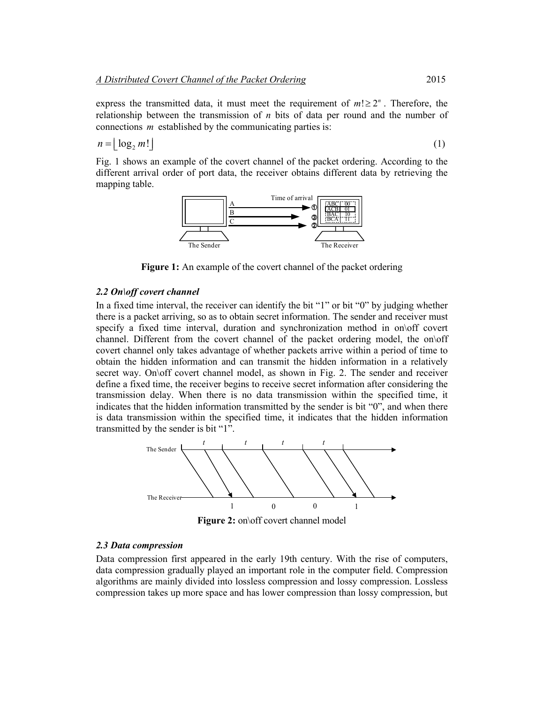express the transmitted data, it must meet the requirement of  $m! \geq 2^n$ . Therefore, the relationship between the transmission of *n* bits of data per round and the number of connections *m* established by the communicating parties is:

$$
n = \lfloor \log_2 m! \rfloor \tag{1}
$$

Fig. 1 shows an example of the covert channel of the packet ordering. According to the different arrival order of port data, the receiver obtains different data by retrieving the mapping table.



**Figure 1:** An example of the covert channel of the packet ordering

#### *2.2 On\off covert channel*

In a fixed time interval, the receiver can identify the bit "1" or bit "0" by judging whether there is a packet arriving, so as to obtain secret information. The sender and receiver must specify a fixed time interval, duration and synchronization method in on\off covert channel. Different from the covert channel of the packet ordering model, the on\off covert channel only takes advantage of whether packets arrive within a period of time to obtain the hidden information and can transmit the hidden information in a relatively secret way. On\off covert channel model, as shown in Fig. 2. The sender and receiver define a fixed time, the receiver begins to receive secret information after considering the transmission delay. When there is no data transmission within the specified time, it indicates that the hidden information transmitted by the sender is bit "0", and when there is data transmission within the specified time, it indicates that the hidden information transmitted by the sender is bit "1".



**Figure 2:** on\off covert channel model

#### *2.3 Data compression*

Data compression first appeared in the early 19th century. With the rise of computers, data compression gradually played an important role in the computer field. Compression algorithms are mainly divided into lossless compression and lossy compression. Lossless compression takes up more space and has lower compression than lossy compression, but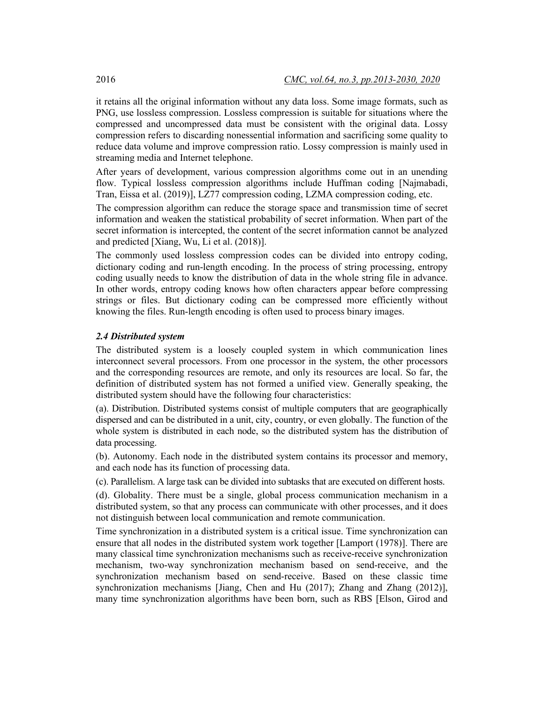it retains all the original information without any data loss. Some image formats, such as PNG, use lossless compression. Lossless compression is suitable for situations where the compressed and uncompressed data must be consistent with the original data. Lossy compression refers to discarding nonessential information and sacrificing some quality to reduce data volume and improve compression ratio. Lossy compression is mainly used in streaming media and Internet telephone.

After years of development, various compression algorithms come out in an unending flow. Typical lossless compression algorithms include Huffman coding [Najmabadi, Tran, Eissa et al. (2019)], LZ77 compression coding, LZMA compression coding, etc.

The compression algorithm can reduce the storage space and transmission time of secret information and weaken the statistical probability of secret information. When part of the secret information is intercepted, the content of the secret information cannot be analyzed and predicted [Xiang, Wu, Li et al. (2018)].

The commonly used lossless compression codes can be divided into entropy coding, dictionary coding and run-length encoding. In the process of string processing, entropy coding usually needs to know the distribution of data in the whole string file in advance. In other words, entropy coding knows how often characters appear before compressing strings or files. But dictionary coding can be compressed more efficiently without knowing the files. Run-length encoding is often used to process binary images.

# *2.4 Distributed system*

The distributed system is a loosely coupled system in which communication lines interconnect several processors. From one processor in the system, the other processors and the corresponding resources are remote, and only its resources are local. So far, the definition of distributed system has not formed a unified view. Generally speaking, the distributed system should have the following four characteristics:

(a). Distribution. Distributed systems consist of multiple computers that are geographically dispersed and can be distributed in a unit, city, country, or even globally. The function of the whole system is distributed in each node, so the distributed system has the distribution of data processing.

(b). Autonomy. Each node in the distributed system contains its processor and memory, and each node has its function of processing data.

(c). Parallelism. A large task can be divided into subtasks that are executed on different hosts.

(d). Globality. There must be a single, global process communication mechanism in a distributed system, so that any process can communicate with other processes, and it does not distinguish between local communication and remote communication.

Time synchronization in a distributed system is a critical issue. Time synchronization can ensure that all nodes in the distributed system work together [Lamport (1978)]. There are many classical time synchronization mechanisms such as receive-receive synchronization mechanism, two-way synchronization mechanism based on send-receive, and the synchronization mechanism based on send-receive. Based on these classic time synchronization mechanisms [Jiang, Chen and Hu (2017); Zhang and Zhang (2012)], many time synchronization algorithms have been born, such as RBS [Elson, Girod and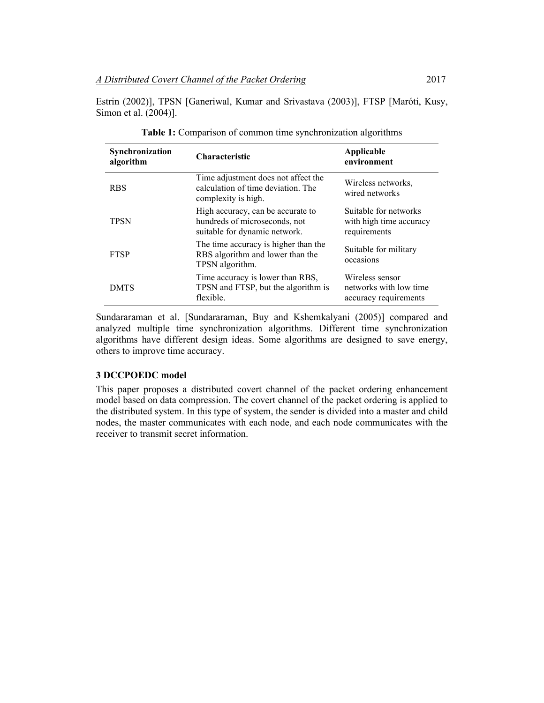Estrin (2002)], TPSN [Ganeriwal, Kumar and Srivastava (2003)], FTSP [Maróti, Kusy, Simon et al. (2004)].

| Synchronization<br>algorithm | <b>Characteristic</b>                                                                               | Applicable<br>environment                                          |
|------------------------------|-----------------------------------------------------------------------------------------------------|--------------------------------------------------------------------|
| <b>RBS</b>                   | Time adjustment does not affect the<br>calculation of time deviation. The<br>complexity is high.    | Wireless networks.<br>wired networks                               |
| <b>TPSN</b>                  | High accuracy, can be accurate to<br>hundreds of microseconds, not<br>suitable for dynamic network. | Suitable for networks<br>with high time accuracy<br>requirements   |
| <b>FTSP</b>                  | The time accuracy is higher than the<br>RBS algorithm and lower than the<br>TPSN algorithm.         | Suitable for military<br>occasions                                 |
| <b>DMTS</b>                  | Time accuracy is lower than RBS,<br>TPSN and FTSP, but the algorithm is<br>flexible.                | Wireless sensor<br>networks with low time<br>accuracy requirements |

| <b>Table 1:</b> Comparison of common time synchronization algorithms |  |  |  |  |  |
|----------------------------------------------------------------------|--|--|--|--|--|
|                                                                      |  |  |  |  |  |

Sundararaman et al. [Sundararaman, Buy and Kshemkalyani (2005)] compared and analyzed multiple time synchronization algorithms. Different time synchronization algorithms have different design ideas. Some algorithms are designed to save energy, others to improve time accuracy.

## **3 DCCPOEDC model**

This paper proposes a distributed covert channel of the packet ordering enhancement model based on data compression. The covert channel of the packet ordering is applied to the distributed system. In this type of system, the sender is divided into a master and child nodes, the master communicates with each node, and each node communicates with the receiver to transmit secret information.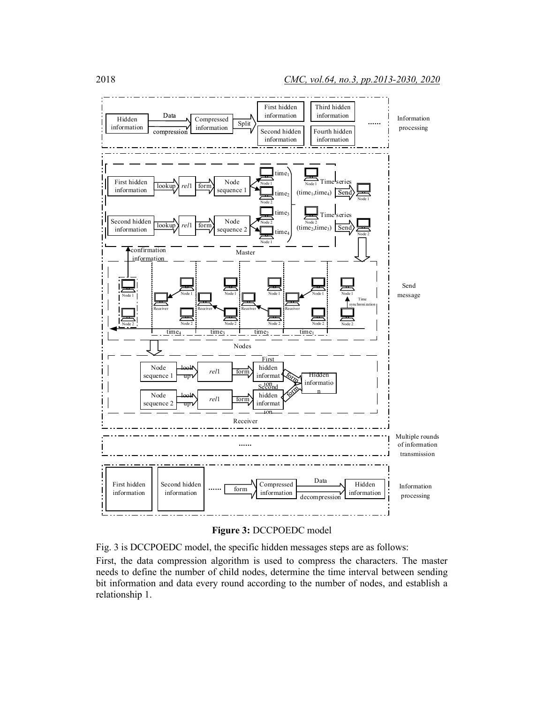



Fig. 3 is DCCPOEDC model, the specific hidden messages steps are as follows: First, the data compression algorithm is used to compress the characters. The master needs to define the number of child nodes, determine the time interval between sending bit information and data every round according to the number of nodes, and establish a relationship 1.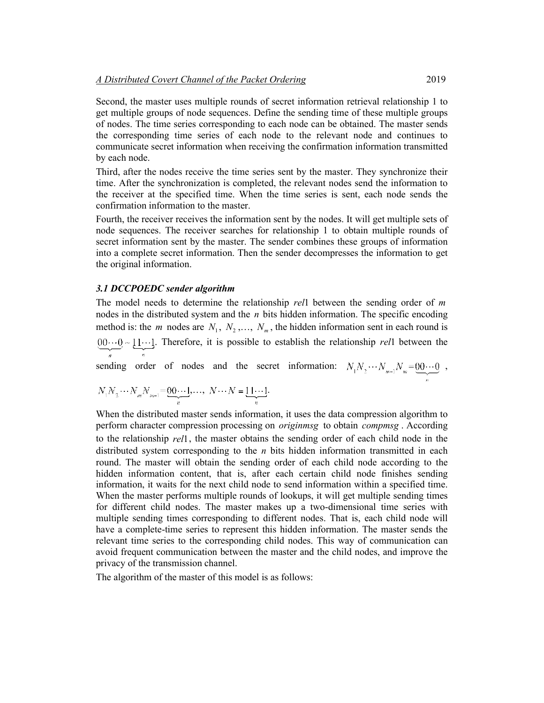Second, the master uses multiple rounds of secret information retrieval relationship 1 to get multiple groups of node sequences. Define the sending time of these multiple groups of nodes. The time series corresponding to each node can be obtained. The master sends the corresponding time series of each node to the relevant node and continues to communicate secret information when receiving the confirmation information transmitted by each node.

Third, after the nodes receive the time series sent by the master. They synchronize their time. After the synchronization is completed, the relevant nodes send the information to the receiver at the specified time. When the time series is sent, each node sends the confirmation information to the master.

Fourth, the receiver receives the information sent by the nodes. It will get multiple sets of node sequences. The receiver searches for relationship 1 to obtain multiple rounds of secret information sent by the master. The sender combines these groups of information into a complete secret information. Then the sender decompresses the information to get the original information.

#### *3.1 DCCPOEDC sender algorithm*

The model needs to determine the relationship *rel*1 between the sending order of *m* nodes in the distributed system and the *n* bits hidden information. The specific encoding method is: the *m* nodes are  $N_1$ ,  $N_2$ ,...,  $N_m$ , the hidden information sent in each round is  $.00 \cdots 0$  ~ 11 $\cdots$ 1. Therefore, it is possible to establish the relationship *rel*1 between the

sending order of nodes and the secret information:  $N_1 N_2 \cdots N_{m-1} N_m = 0 \cdots 0$ ,

$$
N_1N_2\cdots N_mN_{m-1} = \underbrace{00\cdots 1}_{n},\ldots, N\cdots N = \underbrace{11\cdots 1}_{n}.
$$

When the distributed master sends information, it uses the data compression algorithm to perform character compression processing on *originmsg* to obtain *compmsg* . According to the relationship *rel*1, the master obtains the sending order of each child node in the distributed system corresponding to the *n* bits hidden information transmitted in each round. The master will obtain the sending order of each child node according to the hidden information content, that is, after each certain child node finishes sending information, it waits for the next child node to send information within a specified time. When the master performs multiple rounds of lookups, it will get multiple sending times for different child nodes. The master makes up a two-dimensional time series with multiple sending times corresponding to different nodes. That is, each child node will have a complete-time series to represent this hidden information. The master sends the relevant time series to the corresponding child nodes. This way of communication can avoid frequent communication between the master and the child nodes, and improve the privacy of the transmission channel.

The algorithm of the master of this model is as follows: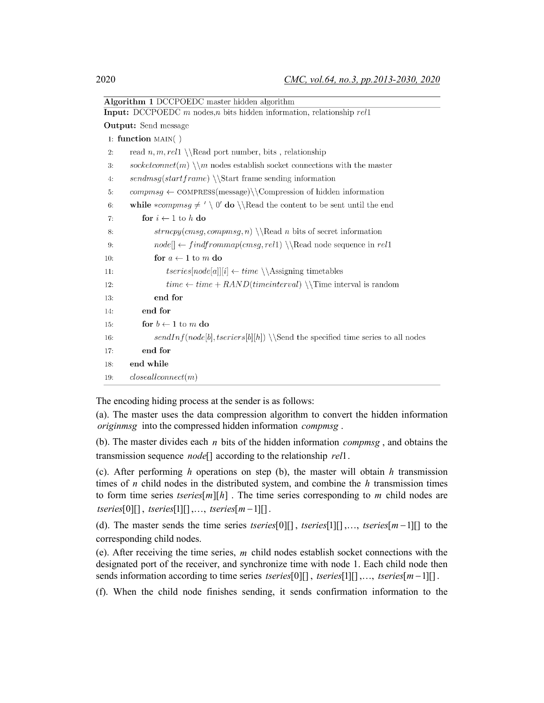|     | <b>Algorithm 1 DCCPOEDC</b> master hidden algorithm                                                     |
|-----|---------------------------------------------------------------------------------------------------------|
|     | <b>Input:</b> DCCPOEDC $m$ nodes, $n$ bits hidden information, relationship $rel1$                      |
|     | <b>Output:</b> Send message                                                                             |
|     | 1: function $\text{MAN}(\ )$                                                                            |
| 2:  | read $n, m, rel1 \setminus \text{Read port number}, \text{bits}, \text{relationship}$                   |
| 3:  | socketconnet(m) $\m$ nodes establish socket connections with the master                                 |
| 4:  | $sendmsg(startframe) \setminus \Start$ frame sending information                                        |
| 5:  | $compsg \leftarrow \text{COMPRESS}(\text{message}) \backslash \text{Compression of hidden information}$ |
| 6:  | while *compmsg $\neq' \setminus 0'$ do $\backslash \$ Read the content to be sent until the end         |
| 7:  | for $i \leftarrow 1$ to $h$ do                                                                          |
| 8:  | $strong(cmsg,compsg, n) \backslash \text{Red } n \text{ bits of secret information}$                    |
| 9:  | $node[] \leftarrow findfrommap(cmsg,rel1) \backslash\text{Read node sequence in } rel1$                 |
| 10: | for $a \leftarrow 1$ to $m$ do                                                                          |
| 11: | $tseries[node[a]][i] \leftarrow time \setminus \text{Assigning timetables}$                             |
| 12: | $time \leftarrow time + RAND(timeinterval) \ \ \ \ \$                                                   |
| 13: | end for                                                                                                 |
| 14: | end for                                                                                                 |
| 15: | for $b \leftarrow 1$ to m do                                                                            |
| 16: | $sendInf(node[b], \text{to}[b][h]) \setminus \text{Send}$ the specified time series to all nodes        |
| 17: | end for                                                                                                 |
| 18: | end while                                                                                               |
| 19: | closedlconnect(m)                                                                                       |

The encoding hiding process at the sender is as follows:

(a). The master uses the data compression algorithm to convert the hidden information *originmsg* into the compressed hidden information *compmsg* .

(b). The master divides each *n* bits of the hidden information *compmsg* , and obtains the transmission sequence *node*[] according to the relationship *rel*1.

(c). After performing *h* operations on step (b), the master will obtain *h* transmission times of *n* child nodes in the distributed system, and combine the *h* transmission times to form time series *tseries*  $[m][h]$ . The time series corresponding to *m* child nodes are  $tseries[0][], tseries[1][], ..., tseries[m-1][].$ 

(d). The master sends the time series *tseries*[0][], *tseries*[1][],..., *tseries*[ $m-1$ ][] to the corresponding child nodes.

(e). After receiving the time series, *m* child nodes establish socket connections with the designated port of the receiver, and synchronize time with node 1. Each child node then sends information according to time series *tseries*[0][], *tseries*[1][],..., *tseries*[m-1][].

(f). When the child node finishes sending, it sends confirmation information to the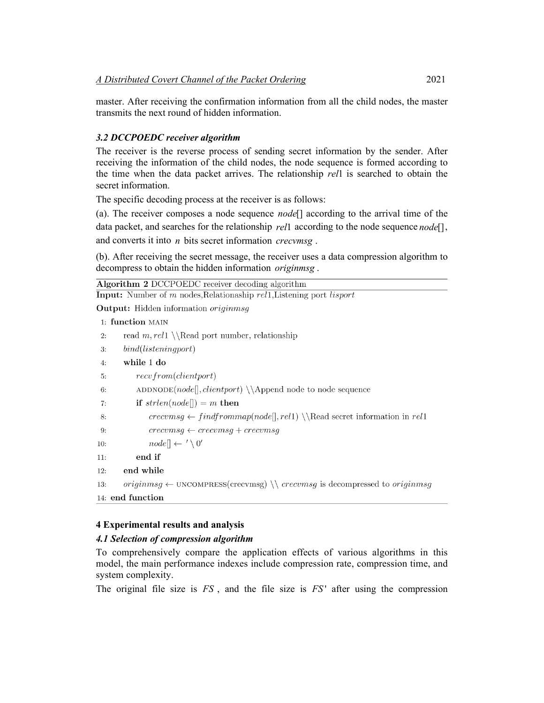master. After receiving the confirmation information from all the child nodes, the master transmits the next round of hidden information.

# *3.2 DCCPOEDC receiver algorithm*

The receiver is the reverse process of sending secret information by the sender. After receiving the information of the child nodes, the node sequence is formed according to the time when the data packet arrives. The relationship *rel*1 is searched to obtain the secret information.

The specific decoding process at the receiver is as follows:

(a). The receiver composes a node sequence *node*[] according to the arrival time of the data packet, and searches for the relationship *rel*1 according to the node sequence *node*[], and converts it into *n* bits secret information *crecvmsg* .

(b). After receiving the secret message, the receiver uses a data compression algorithm to decompress to obtain the hidden information *originmsg* .

| <b>Algorithm 2 DCCPOEDC</b> receiver decoding algorithm                                                  |
|----------------------------------------------------------------------------------------------------------|
| <b>Input:</b> Number of m nodes, Relationaship rell, Listening port lisport                              |
| <b>Output:</b> Hidden information <i>originmsq</i>                                                       |
| 1: function MAIN                                                                                         |
| read $m,$ rel1 \\Read port number, relationship<br>2:                                                    |
| bind(listeningport)<br>3:                                                                                |
| while 1 do<br>4:                                                                                         |
| recv from (client port)<br>5:                                                                            |
| $\text{ADDNODE}(node[], clientport) \setminus \text{node}$ node to node sequence<br>6:                   |
| if $strlen(node[] ) = m$ then<br>7:                                                                      |
| $crecumsg \leftarrow find from map(node[], rel1) \setminus \text{Read secret information in rel1}$<br>8: |
|                                                                                                          |

```
9:
              crecumsg \leftarrow crecumsg + crecumsg
```

```
node[] \leftarrow ' \setminus 0'10:
```
end if  $11:$ 

```
end while
12:
```

```
originmsq \leftarrow UNCOMPEES(crecvmsg) \ \ \ \ (reccvmsg \text{ is decompressed to } originmsg13:
```

```
14: end function
```
# **4 Experimental results and analysis**

# *4.1 Selection of compression algorithm*

To comprehensively compare the application effects of various algorithms in this model, the main performance indexes include compression rate, compression time, and system complexity.

The original file size is *FS* , and the file size is *FS* ' after using the compression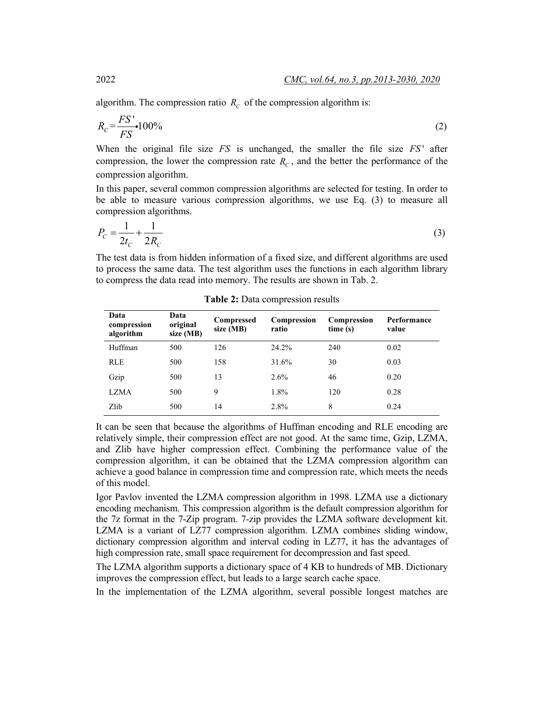algorithm. The compression ratio  $R_c$  of the compression algorithm is:

$$
R_C = \frac{FS'}{FS} \cdot 100\%
$$
 (2)

When the original file size *FS* is unchanged, the smaller the file size *FS* ' after compression, the lower the compression rate  $R_c$ , and the better the performance of the compression algorithm.

In this paper, several common compression algorithms are selected for testing. In order to be able to measure various compression algorithms, we use Eq. (3) to measure all compression algorithms.

$$
P_C = \frac{1}{2t_C} + \frac{1}{2R_C}
$$
 (3)

The test data is from hidden information of a fixed size, and different algorithms are used to process the same data. The test algorithm uses the functions in each algorithm library to compress the data read into memory. The results are shown in Tab. 2.

| Data<br>compression<br>algorithm | Data<br>original<br>size (MB) | Compressed<br>size (MB) | Compression<br>ratio | Compression<br>time(s) | Performance<br>value |
|----------------------------------|-------------------------------|-------------------------|----------------------|------------------------|----------------------|
| Huffman                          | 500                           | 126                     | 24.2%                | 240                    | 0.02                 |
| <b>RLE</b>                       | 500                           | 158                     | 31.6%                | 30                     | 0.03                 |
| Gzip                             | 500                           | 13                      | 2.6%                 | 46                     | 0.20                 |
| LZMA                             | 500                           | 9                       | 1.8%                 | 120                    | 0.28                 |
| Zlib                             | 500                           | 14                      | 2.8%                 | 8                      | 0.24                 |

**Table 2:** Data compression results

It can be seen that because the algorithms of Huffman encoding and RLE encoding are relatively simple, their compression effect are not good. At the same time, Gzip, LZMA, and Zlib have higher compression effect. Combining the performance value of the compression algorithm, it can be obtained that the LZMA compression algorithm can achieve a good balance in compression time and compression rate, which meets the needs of this model.

Igor Pavlov invented the LZMA compression algorithm in 1998. LZMA use a dictionary encoding mechanism. This compression algorithm is the default compression algorithm for the 7z format in the 7-Zip program. 7-zip provides the LZMA software development kit. LZMA is a variant of LZ77 compression algorithm. LZMA combines sliding window, dictionary compression algorithm and interval coding in LZ77, it has the advantages of high compression rate, small space requirement for decompression and fast speed.

The LZMA algorithm supports a dictionary space of 4 KB to hundreds of MB. Dictionary improves the compression effect, but leads to a large search cache space.

In the implementation of the LZMA algorithm, several possible longest matches are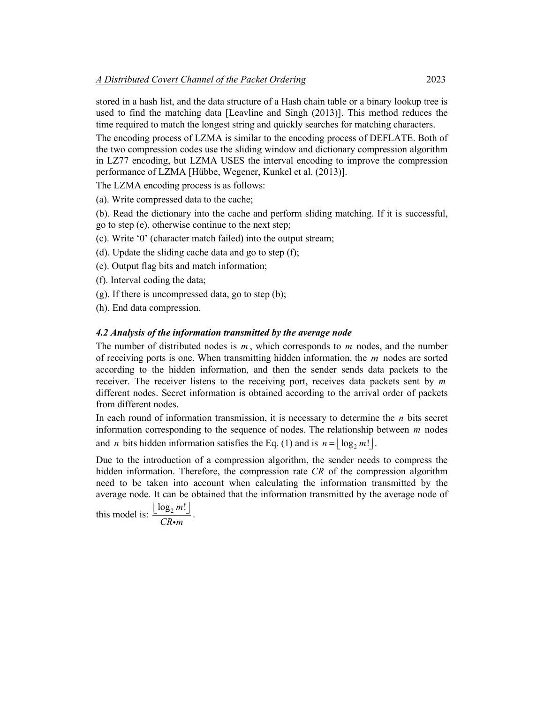stored in a hash list, and the data structure of a Hash chain table or a binary lookup tree is used to find the matching data [Leavline and Singh (2013)]. This method reduces the time required to match the longest string and quickly searches for matching characters.

The encoding process of LZMA is similar to the encoding process of DEFLATE. Both of the two compression codes use the sliding window and dictionary compression algorithm in LZ77 encoding, but LZMA USES the interval encoding to improve the compression performance of LZMA [Hübbe, Wegener, Kunkel et al. (2013)].

The LZMA encoding process is as follows:

- (a). Write compressed data to the cache;
- (b). Read the dictionary into the cache and perform sliding matching. If it is successful, go to step (e), otherwise continue to the next step;
- (c). Write '0' (character match failed) into the output stream;
- (d). Update the sliding cache data and go to step (f);
- (e). Output flag bits and match information;
- (f). Interval coding the data;
- (g). If there is uncompressed data, go to step (b);
- (h). End data compression.

### *4.2 Analysis of the information transmitted by the average node*

The number of distributed nodes is *m* , which corresponds to *m* nodes, and the number of receiving ports is one. When transmitting hidden information, the *m* nodes are sorted according to the hidden information, and then the sender sends data packets to the receiver. The receiver listens to the receiving port, receives data packets sent by *m* different nodes. Secret information is obtained according to the arrival order of packets from different nodes.

In each round of information transmission, it is necessary to determine the *n* bits secret information corresponding to the sequence of nodes. The relationship between *m* nodes and *n* bits hidden information satisfies the Eq. (1) and is  $n = \log_2 m!$ .

Due to the introduction of a compression algorithm, the sender needs to compress the hidden information. Therefore, the compression rate *CR* of the compression algorithm need to be taken into account when calculating the information transmitted by the average node. It can be obtained that the information transmitted by the average node of

this model is:  $\frac{\lfloor \log_2 m \rfloor}{\sqrt{m}}$ *CR m*  $\frac{\lfloor \log_2 m! \rfloor}{CR \cdot m}$ .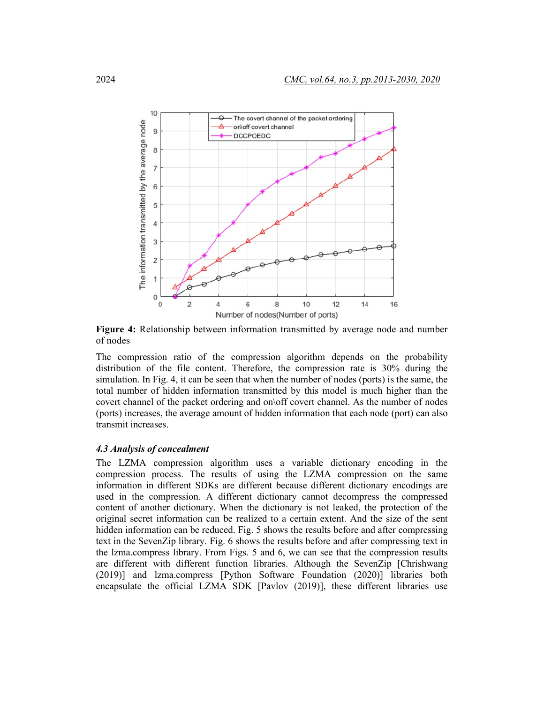

**Figure 4:** Relationship between information transmitted by average node and number of nodes

The compression ratio of the compression algorithm depends on the probability distribution of the file content. Therefore, the compression rate is 30% during the simulation. In Fig. 4, it can be seen that when the number of nodes (ports) is the same, the total number of hidden information transmitted by this model is much higher than the covert channel of the packet ordering and on\off covert channel. As the number of nodes (ports) increases, the average amount of hidden information that each node (port) can also transmit increases.

#### *4.3 Analysis of concealment*

The LZMA compression algorithm uses a variable dictionary encoding in the compression process. The results of using the LZMA compression on the same information in different SDKs are different because different dictionary encodings are used in the compression. A different dictionary cannot decompress the compressed content of another dictionary. When the dictionary is not leaked, the protection of the original secret information can be realized to a certain extent. And the size of the sent hidden information can be reduced. Fig. 5 shows the results before and after compressing text in the SevenZip library. Fig. 6 shows the results before and after compressing text in the lzma.compress library. From Figs. 5 and 6, we can see that the compression results are different with different function libraries. Although the SevenZip [Chrishwang (2019)] and lzma.compress [Python Software Foundation (2020)] libraries both encapsulate the official LZMA SDK [Pavlov (2019)], these different libraries use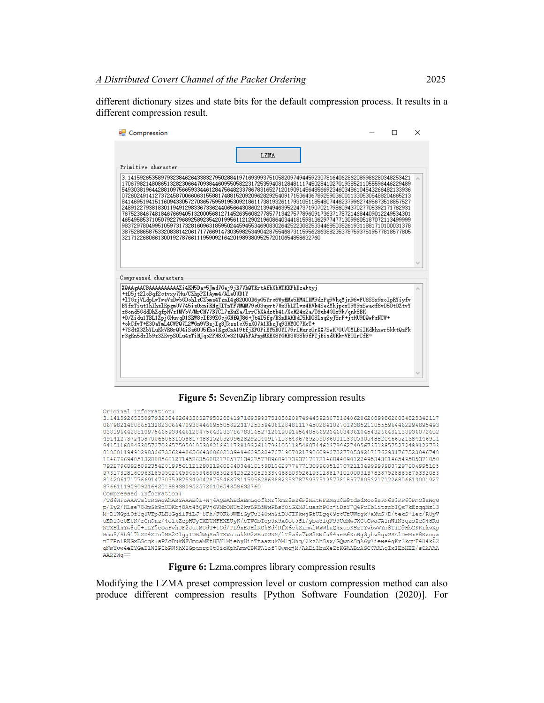different dictionary sizes and state bits for the default compression process. It results in a different compression result.

| LZMA<br>Primitive character<br>3.1415926535897932384626433832795028841971693993751058209749445923078164062862089986280348253421<br>170679821480865132823066470938446095505822317253594081284811174502841027019385211055596446229489<br>549303819644288109756659334461284756482337867831652712019091456485669234603486104543266482133936<br>072602491412737245870066063155881748815209209628292540917153643678925903600113305305488204665213<br>841469519415116094330572703657595919530921861173819326117931051185480744623799627495673518857527<br>248912279381830119491298336733624406566430860213949463952247371907021798609437027705392171762931<br>767523846748184676694051320005681271452635608277857713427577896091736371787214684409012249534301<br>465495853710507922796892589235420199561121290219608640344181598136297747713099605187072113499999<br>983729780499510597317328160963185950244594553469083026425223082533446850352619311881710100031378<br>387528865875332083814206171776691473035982534904287554687311595628638823537875937519577818577805<br>321712268066130019278766111959092164201989380952572010654858632760<br>Compressed characters<br>XQAAgAACBAAAAAAAAAAZi4KH5Da+5Jmd7Gej9jR7VhQTKrtAfbXbHTKKPbDzektyi<br>+tD5jt2loBqf2ctvxy7Hu/CZhpPZ1Aym4/ALeOUD1Y<br>+1TGziVLdpLwTweVsDwbGDohlzCZbms4TznI4e82000D6vG5Yrc6WvEMe5BM4IDM9dzPe9VhqYin96vFU6SSx9xoIpRYivfv<br>BYfxTiut1hIhslKpgmUV745isOxniRNgTITnTFVMQM79cO3uyrt7Ux3bLTlvx4RVk4SedYhjpoxT9Y9sSwacf6vD5OtOZtvY<br>z6ond5GddDhZqfpHVz1MVbV/MrCNV7BYCL7sKuZa/1rrCbXAdztb41/XoH24x2a/T6ub4GOx9k/qnk8BK<br>+0/Zidu1TBL1ZpjGHuvqD1SRW8cIf39ZGcjGNfQJ86+Jt4I5fg/BSnDAHBdC5hDO8lsg2yJ5rP+jtHU9DQwPzNCW+<br>+okCfvT+E3OaYmL4CWPQ7L2WGn9VBsjIg3Jkss1cX5sXO7A1KbzJq93HYOC7KcT+<br>+7SdtX3ZbYLuKkVR8rQU4iSs60U5fho1KgxCnA19tfjKP0PiEY5B0YI79rIHurz0rXX7SwK70U/0YLBiIKdkhswr5kktQsFk<br>r3eKn5dzlb9z3ZKvpSOLu4sTiNTqo2PH8XCw321QQbPAPnvMKEX8YGHB3U38b9fFTjBisdURkmVEOIrCfE= | <b>P.</b> Compression |  | × |
|------------------------------------------------------------------------------------------------------------------------------------------------------------------------------------------------------------------------------------------------------------------------------------------------------------------------------------------------------------------------------------------------------------------------------------------------------------------------------------------------------------------------------------------------------------------------------------------------------------------------------------------------------------------------------------------------------------------------------------------------------------------------------------------------------------------------------------------------------------------------------------------------------------------------------------------------------------------------------------------------------------------------------------------------------------------------------------------------------------------------------------------------------------------------------------------------------------------------------------------------------------------------------------------------------------------------------------------------------------------------------------------------------------------------------------------------------------------------------------------------------------------------------------------------------------------------------------------------------------------------------------------------------------------------------------------------------------------------------------------------------------------------------------------------------------------------------------------------------------------------------------------------------------------------------------------------|-----------------------|--|---|
|                                                                                                                                                                                                                                                                                                                                                                                                                                                                                                                                                                                                                                                                                                                                                                                                                                                                                                                                                                                                                                                                                                                                                                                                                                                                                                                                                                                                                                                                                                                                                                                                                                                                                                                                                                                                                                                                                                                                                |                       |  |   |
|                                                                                                                                                                                                                                                                                                                                                                                                                                                                                                                                                                                                                                                                                                                                                                                                                                                                                                                                                                                                                                                                                                                                                                                                                                                                                                                                                                                                                                                                                                                                                                                                                                                                                                                                                                                                                                                                                                                                                |                       |  |   |
|                                                                                                                                                                                                                                                                                                                                                                                                                                                                                                                                                                                                                                                                                                                                                                                                                                                                                                                                                                                                                                                                                                                                                                                                                                                                                                                                                                                                                                                                                                                                                                                                                                                                                                                                                                                                                                                                                                                                                |                       |  |   |
|                                                                                                                                                                                                                                                                                                                                                                                                                                                                                                                                                                                                                                                                                                                                                                                                                                                                                                                                                                                                                                                                                                                                                                                                                                                                                                                                                                                                                                                                                                                                                                                                                                                                                                                                                                                                                                                                                                                                                |                       |  |   |
|                                                                                                                                                                                                                                                                                                                                                                                                                                                                                                                                                                                                                                                                                                                                                                                                                                                                                                                                                                                                                                                                                                                                                                                                                                                                                                                                                                                                                                                                                                                                                                                                                                                                                                                                                                                                                                                                                                                                                |                       |  |   |
|                                                                                                                                                                                                                                                                                                                                                                                                                                                                                                                                                                                                                                                                                                                                                                                                                                                                                                                                                                                                                                                                                                                                                                                                                                                                                                                                                                                                                                                                                                                                                                                                                                                                                                                                                                                                                                                                                                                                                |                       |  |   |

**Figure 5:** SevenZip library compression results

| Original information:                                                                              |
|----------------------------------------------------------------------------------------------------|
| 3.141592653589793238462643383279502884197169399375105820974944592307816406286208998628034825342117 |
| 06798214808651328230664709384460955058223172535940812848111745028410270193852110555964462294895493 |
| 03819644288109756659334461284756482337867831652712019091456485669234603486104543266482133936072602 |
| 49141273724587006606315588174881520920962829254091715364367892590360011330530548820466521384146951 |
| 94151160943305727036575959195309218611738193261179310511854807446237996274956735188575272489122793 |
| 81830119491298336733624406566430860213949463952247371907021798609437027705392171762931767523846748 |
| 18467669405132000568127145263560827785771342757789609173637178721468440901224953430146549585371050 |
| 79227968925892354201995611212902196086403441815981362977477130996051870721134999999837297804995105 |
| 97317328160963185950244594553469083026425223082533446850352619311881710100031378387528865875332083 |
| 81420617177669147303598253490428755468731159562863882353787593751957781857780532171226806613001927 |
| 8766111959092164201989380952572010654858632760                                                     |
| Compressed information:                                                                            |
| /Td6WFoAAATm1rRGAgAhARYAAABOL+Wj4AQBAhBdABmLgofkNr7kmZ3sZ6P2NHtWFBMqu0B9tdsdMoo9sPN6S3KP60FmO3aWqG |
| p/2y2/HLse78JmGk9nUDKbj8At45QPVj6VMbONUt2kvBPB5WwPBsYOiGXMJluazhPOcjiDzY7Q4PrIblitzpbIQx7kEzqqMz13 |
| M+D1WGpiOf3q8VTpJLH3GqilFiLJ+8Fh/FOK63WEiGyUu340wh2iD3JIKkwjPfULqq69ccUfUWcqk7aXuS7D/tekS+lec/R0yV |
| uER10e0EtN/rCn0nz/4o1kZepHUyIXDUNFHXEUyK/bTWObIop0x9xGot5S1/yba31qN99UdMwJXGtGwaJA1nWlN3qzsZe048Rd |
| NTXS1nYw8u0+iLY5cOaFvhJF2JutMUdT+tGd/PL9nEJH1RGkSd4RfX6ckZimw1WxW1uQkxusKSzTYvbvVYm8TiD9HbGKKikvXp |
| Hmu8/4h917hzz4zTn0MB2C1qqIDB2WqSs2TXVciukkG2SRuZGNN/1T8w6z7bS2EWfu94aeB6KnRq3jhv8qvGSAlDeMmP8Kzoqa |
| nIFRnlRKGxBSoqk+sPZoDukWFJmuaMEt8BY1MjehyHinTtaazukAMlj3hq/2kzAhSsx/GQwnkSqA6y7iewe4qKr2kqrF404k62 |
| gNmYvw4eEYGaD1WIPIbRW5hX2Gpunrp0t0ioXphAmmCBWFA1of78wmgjM/AADiZbuXeZtKGAABrASCCAAAqIxIEbHEZ/sCAAAA |
| $AARZWq ==$                                                                                        |

**Figure 6:** Lzma.compres library compression results

Modifying the LZMA preset compression level or custom compression method can also produce different compression results [Python Software Foundation (2020)]. For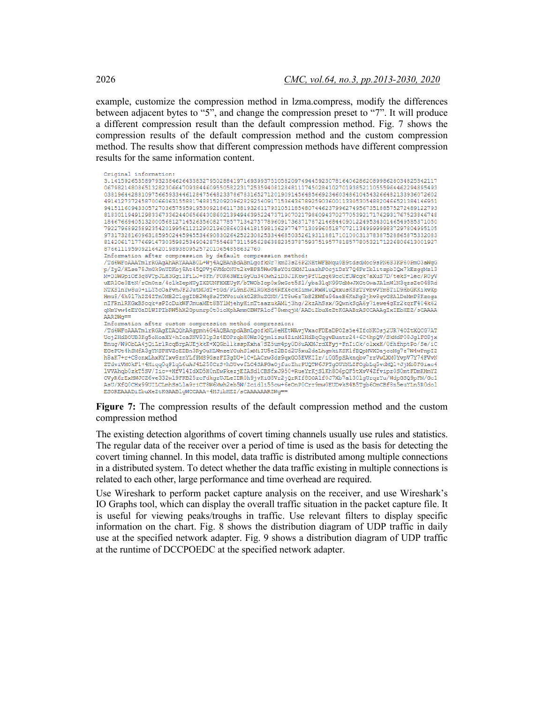example, customize the compression method in lzma.compress, modify the differences between adjacent bytes to " $5$ ", and change the compression preset to "7". It will produce a different compression result than the default compression method. Fig. 7 shows the compression results of the default compression method and the custom compression method. The results show that different compression methods have different compression results for the same information content.

| Original information:                                                                              |
|----------------------------------------------------------------------------------------------------|
| 3.141592653589793238462643383279502884197169399375105820974944592307816406286208998628034825342117 |
| 06798214808651328230664709384460955058223172535940812848111745028410270193852110555964462294895493 |
| 03819644288109756659334461284756482337867831652712019091456485669234603486104543266482133936072602 |
| 49141273724587006606315588174881520920962829254091715364367892590360011330530548820466521384146951 |
| 94151160943305727036575959195309218611738193261179310511854807446237996274956735188575272489122793 |
| 81830119491298336733624406566430860213949463952247371907021798609437027705392171762931767523846748 |
| 18467669405132000568127145263560827785771342757789609173637178721468440901224953430146549585371050 |
| 79227968925892354201995611212902196086403441815981362977477130996051870721134999999837297804995105 |
| 97317328160963185950244594553469083026425223082533446850352619311881710100031378387528865875332083 |
| 81420617177669147303598253490428755468731159562863882353787593751957781857780532171226806613001927 |
| 8766111959092164201989380952572010654858632760                                                     |
| Information after compression by default compression method:                                       |
| /Td6WFoAAATm1rRGAqAhARYAAABOL+Wj4AQBAhBdABmLqofkNr7kmZ3sZ6P2NHtWFBMqu0B9tdsdMoo9sPN6S3KP60PmO3aWqG |
| p/Zy2/HLse78JmGk9nUDKbj8At45QPVj6VMbONUt2kvBPB5WwPBsYOiGXMJluazhPOcjiDzY7Q4PrIblitzpbIQx7kEzqqMz13 |
| M+D1WGpiOf3q8VTpJLH3GgilFiLJ+8Fh/FOK63WEiGyUu340wh2iD3JIKkwjPfULqq69ccUfUWcqk7aXuS7D/tekS+lec/R0yV |
| uER10e0EtN/rCnOnz/4o1kZepHUyIXDUNFHXEUyK/bTWObIop0x9xGot5S1/yba31qN99UdMwJXGtGwaJA1nWlN3qzsZeO48Rd |
| NTXS1nYw8u0+iLY5cOaFvhJF2JutMUdT+tGd/PL9nEJH1RGkSd4RfX6ckZimwlWxW1uQkxusKSzTYvbvVYm8TiD9HbGKKikvXp |
| Hmu8/4h917hZZ4ZTnOMB2C1qqIDB2WqSs2TXVciukkG2SRuZGNN/1T8w6z7bS2EWfu94aeB6KnRq3jhv8qvGSAlDeMmP8Kzoqa |
| nIFRnlRKGxBSoqk+sPZoDukWFJmuaMEt8BY1MjehyHinTtaazukAMlj3hq/2kzAhSsx/GQwnkSqA6y7iewe4qKr2kqrF404k62 |
| qNmYvw4eEYGaD1WIPIbRW5hX2Gpunrp0t0ioXphAmmCBWFA1of78wmqjM/AADiZbuXeZtKGAABrASCCAAAqIxIEbHEZ/sCAAAA |
| AARZWa==                                                                                           |
| Information after custom compression method compression:                                           |
| /Td6WFoAAATmlrRGAqEDAQQhARqpmh6G4AQBAnpdABmLqofkNL8eHEtWAvjVxacFDEaDPOZs5e4IfcNKOsj2UR74OZtXQCG7AT |
| Ucj2HdBOUB3Kq5oHoaXY+hIcaSNV831p3z4EOPrqbH0Wz0Qjm1isu4ZinMlHdBqCqqvBuntr24+6C4hpQV/SkMdP08JqlFG8jx |
| Bnuq/W9ObLA4jQiLr1RcqBrpAUEjkkK+XQGbllksspKxha7SZ5um4py0D8uAXMJrdXFyj+FnIiOk/olxxH/0fhfhptPo/Se/iC |
| EGePUt4hSMfA3gYNSPHVZoEDBn3RyOuHLWmzeYCuhS1xMiIU5eZ2BId2U5xu2daLhgmkiKSK1fBQpMVXDajccMq7z7W4wPnpIZ |
| h8aK7+r+C8onxLhxKYIxv8znYLfPMS9GszFI3gDU+1C+LACrw3dz9qxGO5EVKI1r/i0G5pSAknqbv7rrVwLXM0YvpV7Y74FVvN |
| ZTdviVMOkF1+4Hiqq0qP1qL6uAJ4L258CzS+hDUvvfLO4SAPGaOjfuoIhrPUQTW6JPTqOUYNLZFOqbLq5vdMQl+JjMb8FGiao4 |
| lVVAhqb0zkT5SV/Iic++HfV14IdXD5H0nEwPkezjEZASdlCBSfxJ950+RueYrKjS1Kh8O6pQF5tXvV4Zfvipz0S0mtFDmKHmYZ |
| OVyR6rExHWJCZ6ve332wl9FKB25zcFdkqzUJLeIDROh9jvKiG8Vr2jQrRIf8OOA1f0J7Xb7a130lqUrqzYu/WdpGSQ9pFM/Gcl |
| AsU/XfQ0CHx99UILCLmhSsLla9riCT8W6Mwh2eb5W/Zcidli55cw+6eOnP0Crr9mw0EUDvkS4B5Tqb6OmCBf8n5euYLn5R0dol |
| ESOREAAADiZbuXeZtKGAABlqWCCAAA+4HJibHEZ/sCAAAAAARZWq ==                                            |
|                                                                                                    |

**Figure 7:** The compression results of the default compression method and the custom compression method

The existing detection algorithms of covert timing channels usually use rules and statistics. The regular data of the receiver over a period of time is used as the basis for detecting the covert timing channel. In this model, data traffic is distributed among multiple connections in a distributed system. To detect whether the data traffic existing in multiple connections is related to each other, large performance and time overhead are required.

Use Wireshark to perform packet capture analysis on the receiver, and use Wireshark's IO Graphs tool, which can display the overall traffic situation in the packet capture file. It is useful for viewing peaks/troughs in traffic. Use relevant filters to display specific information on the chart. Fig. 8 shows the distribution diagram of UDP traffic in daily use at the specified network adapter. Fig. 9 shows a distribution diagram of UDP traffic at the runtime of DCCPOEDC at the specified network adapter.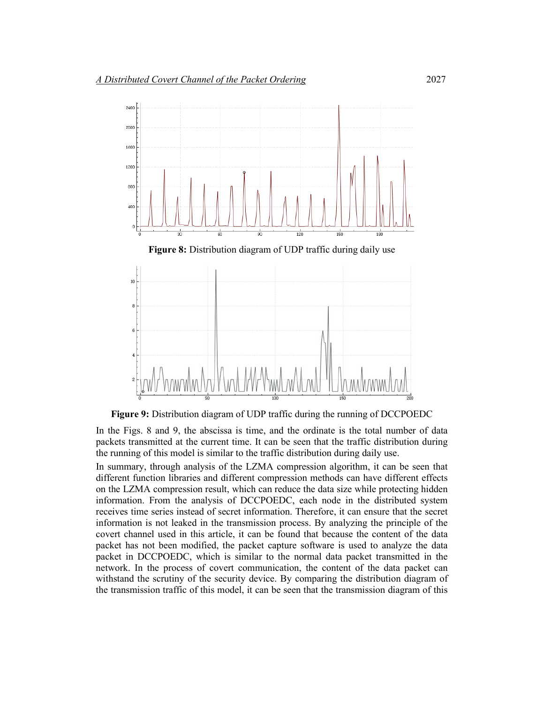

**Figure 9:** Distribution diagram of UDP traffic during the running of DCCPOEDC

In the Figs. 8 and 9, the abscissa is time, and the ordinate is the total number of data packets transmitted at the current time. It can be seen that the traffic distribution during the running of this model is similar to the traffic distribution during daily use.

In summary, through analysis of the LZMA compression algorithm, it can be seen that different function libraries and different compression methods can have different effects on the LZMA compression result, which can reduce the data size while protecting hidden information. From the analysis of DCCPOEDC, each node in the distributed system receives time series instead of secret information. Therefore, it can ensure that the secret information is not leaked in the transmission process. By analyzing the principle of the covert channel used in this article, it can be found that because the content of the data packet has not been modified, the packet capture software is used to analyze the data packet in DCCPOEDC, which is similar to the normal data packet transmitted in the network. In the process of covert communication, the content of the data packet can withstand the scrutiny of the security device. By comparing the distribution diagram of the transmission traffic of this model, it can be seen that the transmission diagram of this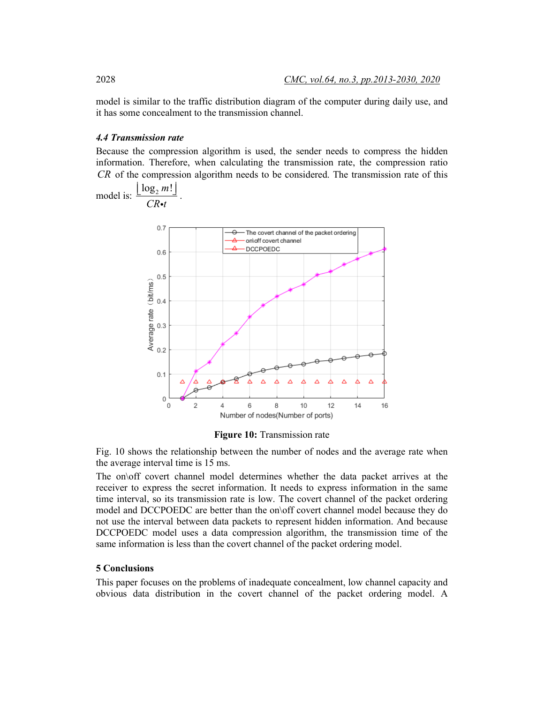model is similar to the traffic distribution diagram of the computer during daily use, and it has some concealment to the transmission channel.

#### *4.4 Transmission rate*

Because the compression algorithm is used, the sender needs to compress the hidden information. Therefore, when calculating the transmission rate, the compression ratio *CR* of the compression algorithm needs to be considered. The transmission rate of this



**Figure 10:** Transmission rate

Fig. 10 shows the relationship between the number of nodes and the average rate when the average interval time is 15 ms.

The on\off covert channel model determines whether the data packet arrives at the receiver to express the secret information. It needs to express information in the same time interval, so its transmission rate is low. The covert channel of the packet ordering model and DCCPOEDC are better than the on\off covert channel model because they do not use the interval between data packets to represent hidden information. And because DCCPOEDC model uses a data compression algorithm, the transmission time of the same information is less than the covert channel of the packet ordering model.

### **5 Conclusions**

This paper focuses on the problems of inadequate concealment, low channel capacity and obvious data distribution in the covert channel of the packet ordering model. A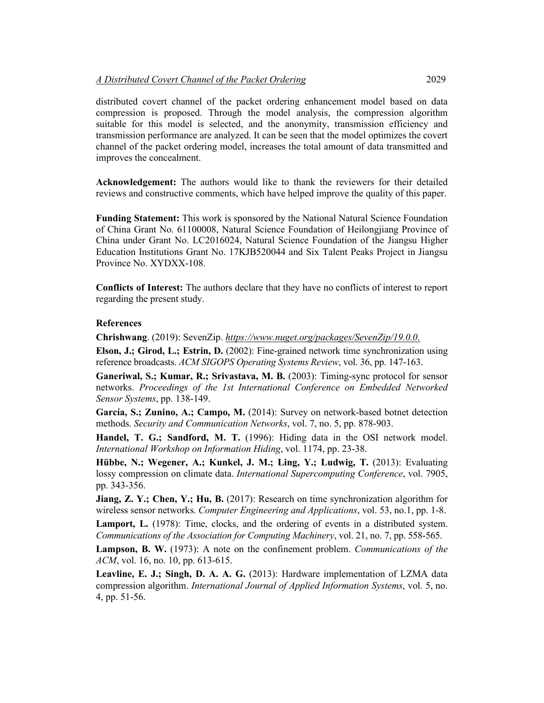distributed covert channel of the packet ordering enhancement model based on data compression is proposed. Through the model analysis, the compression algorithm suitable for this model is selected, and the anonymity, transmission efficiency and transmission performance are analyzed. It can be seen that the model optimizes the covert channel of the packet ordering model, increases the total amount of data transmitted and improves the concealment.

**Acknowledgement:** The authors would like to thank the reviewers for their detailed reviews and constructive comments, which have helped improve the quality of this paper.

**Funding Statement:** This work is sponsored by the National Natural Science Foundation of China Grant No. 61100008, Natural Science Foundation of Heilongjiang Province of China under Grant No. LC2016024, Natural Science Foundation of the Jiangsu Higher Education Institutions Grant No. 17KJB520044 and Six Talent Peaks Project in Jiangsu Province No. XYDXX-108.

**Conflicts of Interest:** The authors declare that they have no conflicts of interest to report regarding the present study.

### **References**

**Chrishwang**. (2019): SevenZip. *https://www.nuget.org/packages/SevenZip/19.0.0*.

**Elson, J.; Girod, L.; Estrin, D.** (2002): Fine-grained network time synchronization using reference broadcasts. *ACM SIGOPS Operating Systems Review*, vol. 36, pp. 147-163.

**Ganeriwal, S.; Kumar, R.; Srivastava, M. B.** (2003): Timing-sync protocol for sensor networks. *Proceedings of the 1st International Conference on Embedded Networked Sensor Systems*, pp. 138-149.

**García, S.; Zunino, A.; Campo, M.** (2014): Survey on network-based botnet detection methods. *Security and Communication Networks*, vol. 7, no. 5, pp. 878-903.

**Handel, T. G.; Sandford, M. T.** (1996): Hiding data in the OSI network model. *International Workshop on Information Hiding*, vol. 1174, pp. 23-38.

**Hübbe, N.; Wegener, A.; Kunkel, J. M.; Ling, Y.; Ludwig, T.** (2013): Evaluating lossy compression on climate data. *International Supercomputing Conference*, vol. 7905, pp. 343-356.

**Jiang, Z. Y.; Chen, Y.; Hu, B.** (2017): Research on time synchronization algorithm for wireless sensor networks. *Computer Engineering and Applications*, vol. 53, no.1, pp. 1-8.

Lamport, L. (1978): Time, clocks, and the ordering of events in a distributed system. *Communications of the Association for Computing Machinery*, vol. 21, no. 7, pp. 558-565.

**Lampson, B. W.** (1973): A note on the confinement problem. *Communications of the ACM*, vol. 16, no. 10, pp. 613-615.

**Leavline, E. J.; Singh, D. A. A. G.** (2013): Hardware implementation of LZMA data compression algorithm. *International Journal of Applied Information Systems*, vol. 5, no. 4, pp. 51-56.